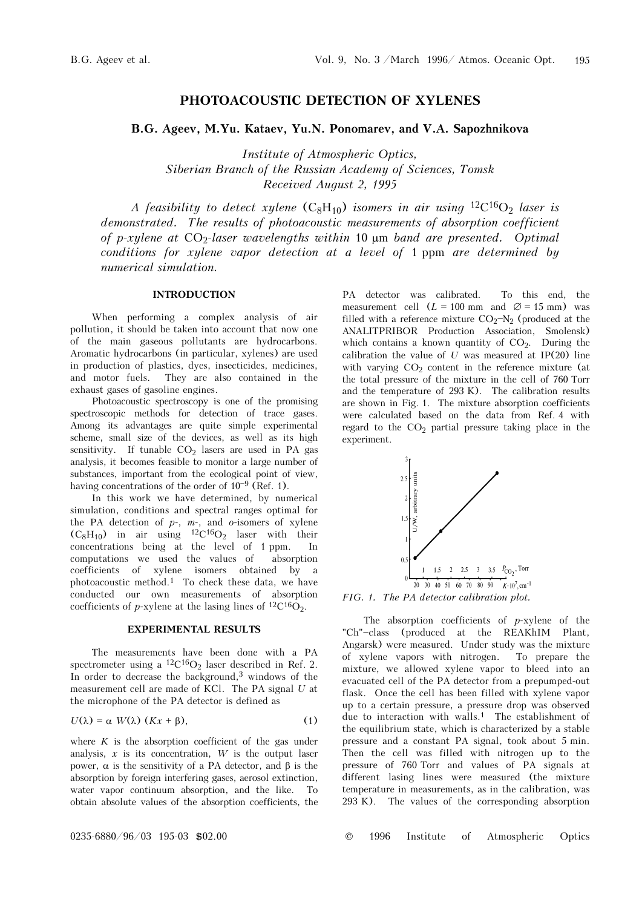# **PHOTOACOUSTIC DETECTION OF XYLENES**

#### **B.G. Ageev, M.Yu. Kataev, Yu.N. Ponomarev, and V.A. Sapozhnikova**

*Institute of Atmospheric Optics, Siberian Branch of the Russian Academy of Sciences, Tomsk Received August 2, 1995* 

*A feasibility to detect xylene*  $(C_8H_{10})$  *isomers in air using*  ${}^{12}C_1{}^{16}O_2$  *laser is demonstrated. The results of photoacoustic measurements of absorption coefficient of p-xylene at* CO2*-laser wavelengths within* 10 μm *band are presented. Optimal conditions for xylene vapor detection at a level of* 1 ppm *are determined by numerical simulation.* 

#### **INTRODUCTION**

When performing a complex analysis of air pollution, it should be taken into account that now one of the main gaseous pollutants are hydrocarbons. Aromatic hydrocarbons (in particular, xylenes) are used in production of plastics, dyes, insecticides, medicines, and motor fuels. They are also contained in the exhaust gases of gasoline engines.

Photoacoustic spectroscopy is one of the promising spectroscopic methods for detection of trace gases. Among its advantages are quite simple experimental scheme, small size of the devices, as well as its high sensitivity. If tunable  $CO<sub>2</sub>$  lasers are used in PA gas analysis, it becomes feasible to monitor a large number of substances, important from the ecological point of view, having concentrations of the order of  $10^{-9}$  (Ref. 1).

In this work we have determined, by numerical simulation, conditions and spectral ranges optimal for the PA detection of *p*-, *m*-, and *o*-isomers of xylene  $(C_8H_{10})$  in air using  ${}^{12}C_{16}O_2$  laser with their concentrations being at the level of 1 ppm. In computations we used the values of absorption coefficients of xylene isomers obtained by a photoacoustic method.1 To check these data, we have conducted our own measurements of absorption coefficients of  $p$ -xylene at the lasing lines of  $^{12}C^{16}O_2$ .

#### **EXPERIMENTAL RESULTS**

The measurements have been done with a PA spectrometer using a  ${}^{12}C{}^{16}O_2$  laser described in Ref. 2. In order to decrease the background, $3$  windows of the measurement cell are made of KCl. The PA signal *U* at the microphone of the PA detector is defined as

$$
U(\lambda) = \alpha \ W(\lambda) \ (Kx + \beta), \tag{1}
$$

where  $K$  is the absorption coefficient of the gas under analysis,  $x$  is its concentration,  $W$  is the output laser power, α is the sensitivity of a PA detector, and β is the absorption by foreign interfering gases, aerosol extinction, water vapor continuum absorption, and the like. To obtain absolute values of the absorption coefficients, the PA detector was calibrated. To this end, the measurement cell  $(L = 100$  mm and  $\varnothing = 15$  mm) was filled with a reference mixture  $CO<sub>2</sub>-N<sub>2</sub>$  (produced at the ANALITPRIBOR Production Association, Smolensk) which contains a known quantity of  $CO<sub>2</sub>$ . During the calibration the value of  $U$  was measured at  $IP(20)$  line with varying  $CO<sub>2</sub>$  content in the reference mixture (at the total pressure of the mixture in the cell of 760 Torr and the temperature of 293 K). The calibration results are shown in Fig. 1. The mixture absorption coefficients were calculated based on the data from Ref. 4 with regard to the  $CO<sub>2</sub>$  partial pressure taking place in the experiment.



The absorption coefficients of *p*-xylene of the "Ch"-class (produced at the REAKhIM Plant, Angarsk) were measured. Under study was the mixture of xylene vapors with nitrogen. To prepare the mixture, we allowed xylene vapor to bleed into an evacuated cell of the PA detector from a prepumped-out flask. Once the cell has been filled with xylene vapor up to a certain pressure, a pressure drop was observed due to interaction with walls.<sup>1</sup> The establishment of the equilibrium state, which is characterized by a stable pressure and a constant PA signal, took about 5 min. Then the cell was filled with nitrogen up to the pressure of 760 Torr and values of PA signals at different lasing lines were measured (the mixture temperature in measurements, as in the calibration, was 293 K). The values of the corresponding absorption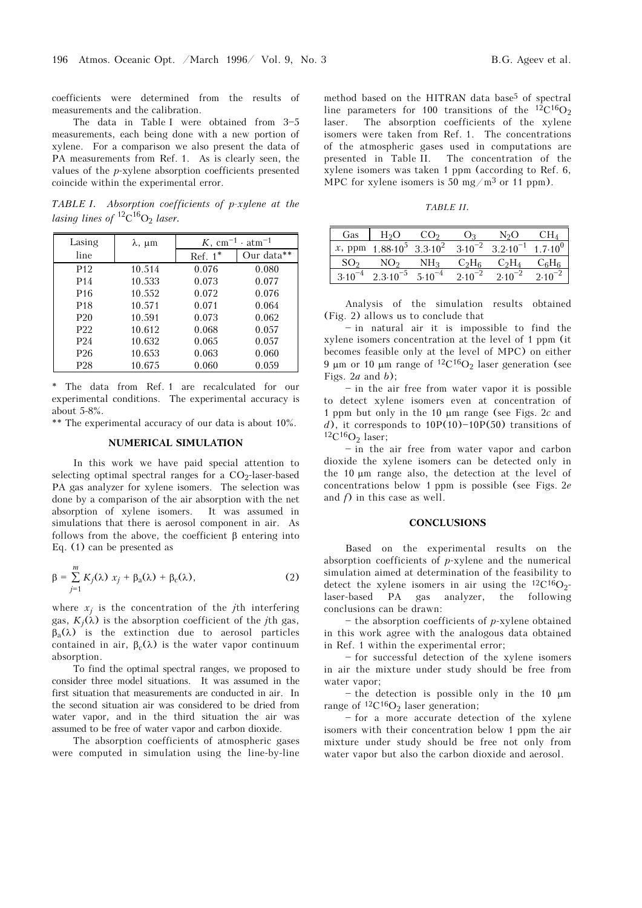coefficients were determined from the results of measurements and the calibration.

The data in Table I were obtained from  $3-5$ measurements, each being done with a new portion of xylene. For a comparison we also present the data of PA measurements from Ref. 1. As is clearly seen, the values of the *p*-xylene absorption coefficients presented coincide within the experimental error.

*TABLE I. Absorption coefficients of p-xylene at the lasing lines of*  ${}^{12}C^{16}O_2$  *laser.* 

| Lasing          | λ, μm  | $K,$ cm <sup>-1</sup> · atm <sup>-1</sup> |            |  |
|-----------------|--------|-------------------------------------------|------------|--|
| line            |        | Ref. $1^*$                                | Our data** |  |
| P <sub>12</sub> | 10.514 | 0.076                                     | 0.080      |  |
| P <sub>14</sub> | 10.533 | 0.073                                     | 0.077      |  |
| P <sub>16</sub> | 10.552 | 0.072                                     | 0.076      |  |
| P <sub>18</sub> | 10.571 | 0.071                                     | 0.064      |  |
| P <sub>20</sub> | 10.591 | 0.073                                     | 0.062      |  |
| P <sub>22</sub> | 10.612 | 0.068                                     | 0.057      |  |
| P <sub>24</sub> | 10.632 | 0.065                                     | 0.057      |  |
| P <sub>26</sub> | 10.653 | 0.063                                     | 0.060      |  |
| P <sub>28</sub> | 10.675 | 0.060                                     | 0.059      |  |

\* The data from Ref. 1 are recalculated for our experimental conditions. The experimental accuracy is about 5-8%.

\*\* The experimental accuracy of our data is about 10%.

## **NUMERICAL SIMULATION**

In this work we have paid special attention to selecting optimal spectral ranges for a  $CO<sub>2</sub>$ -laser-based PA gas analyzer for xylene isomers. The selection was done by a comparison of the air absorption with the net absorption of xylene isomers. It was assumed in simulations that there is aerosol component in air. As follows from the above, the coefficient  $\beta$  entering into Eq. (1) can be presented as

$$
\beta = \sum_{j=1}^{m} K_j(\lambda) x_j + \beta_a(\lambda) + \beta_c(\lambda), \qquad (2)
$$

where  $x_j$  is the concentration of the *j*th interfering gas,  $K_i(\lambda)$  is the absorption coefficient of the *j*th gas, βa(λ) is the extinction due to aerosol particles contained in air,  $\beta_c(\lambda)$  is the water vapor continuum absorption.

To find the optimal spectral ranges, we proposed to consider three model situations. It was assumed in the first situation that measurements are conducted in air. In the second situation air was considered to be dried from water vapor, and in the third situation the air was assumed to be free of water vapor and carbon dioxide.

The absorption coefficients of atmospheric gases were computed in simulation using the line-by-line

method based on the HITRAN data base<sup>5</sup> of spectral line parameters for 100 transitions of the  ${}^{12}C^{16}O_2$ <br>laser The absorption coefficients of the sylene The absorption coefficients of the xylene isomers were taken from Ref. 1. The concentrations of the atmospheric gases used in computations are presented in Table II. The concentration of the xylene isomers was taken 1 ppm (according to Ref. 6, MPC for xylene isomers is 50 mg/m<sup>3</sup> or 11 ppm).

*TABLE II.*

| Gas         |                     |                 |             |                                                                                            |      |
|-------------|---------------------|-----------------|-------------|--------------------------------------------------------------------------------------------|------|
|             |                     |                 |             | x, ppm $1.88 \cdot 10^5$ $3.3 \cdot 10^2$ $3.10^{-2}$ $3.2 \cdot 10^{-1}$ $1.7 \cdot 10^6$ |      |
|             |                     | NH <sub>3</sub> | $C_2H_6$    | $C_2H_A$                                                                                   |      |
| $3.10^{-4}$ | $2.3 \cdot 10^{-5}$ | $5.10^{-4}$     | $2.10^{-2}$ | $2.10^{-2}$                                                                                | 2.10 |

Analysis of the simulation results obtained (Fig. 2) allows us to conclude that

 $-$  in natural air it is impossible to find the xylene isomers concentration at the level of 1 ppm (it becomes feasible only at the level of MPC) on either 9 μm or 10 μm range of  ${}^{12}C{}^{16}O_2$  laser generation (see Figs. 2*a* and *b*);

 $-$  in the air free from water vapor it is possible to detect xylene isomers even at concentration of 1 ppm but only in the 10 μm range (see Figs. 2*c* and  $d$ ), it corresponds to  $10P(10)-10P(50)$  transitions of  $12C16O<sub>2</sub>$  laser;

 $-$  in the air free from water vapor and carbon dioxide the xylene isomers can be detected only in the 10 μm range also, the detection at the level of concentrations below 1 ppm is possible (see Figs. 2*e* and *f*) in this case as well.

#### **CONCLUSIONS**

Based on the experimental results on the absorption coefficients of *p*-xylene and the numerical simulation aimed at determination of the feasibility to detect the xylene isomers in air using the  ${}^{12}C {}^{16}O_2$ laser-based PA gas analyzer, the following conclusions can be drawn:

 $-$  the absorption coefficients of  $p$ -xylene obtained in this work agree with the analogous data obtained in Ref. 1 within the experimental error;

 $-$  for successful detection of the xylene isomers in air the mixture under study should be free from water vapor;

 $-$  the detection is possible only in the 10  $\mu$ m range of  ${}^{12}C {}^{16}O_2$  laser generation;

 $-$  for a more accurate detection of the xylene isomers with their concentration below 1 ppm the air mixture under study should be free not only from water vapor but also the carbon dioxide and aerosol.